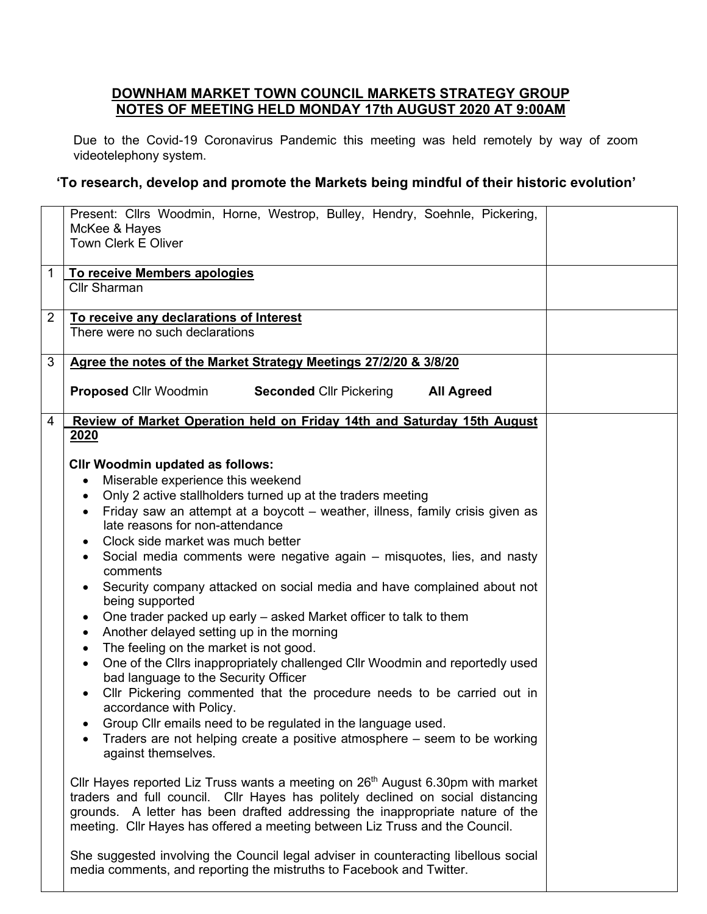## **DOWNHAM MARKET TOWN COUNCIL MARKETS STRATEGY GROUP NOTES OF MEETING HELD MONDAY 17th AUGUST 2020 AT 9:00AM**

Due to the Covid-19 Coronavirus Pandemic this meeting was held remotely by way of zoom videotelephony system.

## **'To research, develop and promote the Markets being mindful of their historic evolution'**

|                | Present: Cllrs Woodmin, Horne, Westrop, Bulley, Hendry, Soehnle, Pickering,<br>McKee & Hayes<br><b>Town Clerk E Oliver</b>                                                                                                                                                                                                            |
|----------------|---------------------------------------------------------------------------------------------------------------------------------------------------------------------------------------------------------------------------------------------------------------------------------------------------------------------------------------|
| $\mathbf 1$    | To receive Members apologies<br><b>Cllr Sharman</b>                                                                                                                                                                                                                                                                                   |
| $\overline{2}$ | To receive any declarations of Interest<br>There were no such declarations                                                                                                                                                                                                                                                            |
| 3              | Agree the notes of the Market Strategy Meetings 27/2/20 & 3/8/20                                                                                                                                                                                                                                                                      |
|                | <b>Proposed Cllr Woodmin</b><br><b>Seconded Cllr Pickering</b><br><b>All Agreed</b>                                                                                                                                                                                                                                                   |
| 4              | Review of Market Operation held on Friday 14th and Saturday 15th August                                                                                                                                                                                                                                                               |
|                | 2020                                                                                                                                                                                                                                                                                                                                  |
|                | <b>CIIr Woodmin updated as follows:</b>                                                                                                                                                                                                                                                                                               |
|                | Miserable experience this weekend<br>$\bullet$                                                                                                                                                                                                                                                                                        |
|                | Only 2 active stallholders turned up at the traders meeting<br>$\bullet$                                                                                                                                                                                                                                                              |
|                | Friday saw an attempt at a boycott - weather, illness, family crisis given as<br>$\bullet$<br>late reasons for non-attendance                                                                                                                                                                                                         |
|                | Clock side market was much better                                                                                                                                                                                                                                                                                                     |
|                | Social media comments were negative again - misquotes, lies, and nasty                                                                                                                                                                                                                                                                |
|                | comments                                                                                                                                                                                                                                                                                                                              |
|                | Security company attacked on social media and have complained about not<br>$\bullet$<br>being supported                                                                                                                                                                                                                               |
|                | One trader packed up early – asked Market officer to talk to them                                                                                                                                                                                                                                                                     |
|                | Another delayed setting up in the morning<br>$\bullet$                                                                                                                                                                                                                                                                                |
|                | The feeling on the market is not good.<br>$\bullet$                                                                                                                                                                                                                                                                                   |
|                | One of the Cllrs inappropriately challenged Cllr Woodmin and reportedly used<br>$\bullet$<br>bad language to the Security Officer                                                                                                                                                                                                     |
|                | Cllr Pickering commented that the procedure needs to be carried out in                                                                                                                                                                                                                                                                |
|                | accordance with Policy.<br>Group Cllr emails need to be regulated in the language used.                                                                                                                                                                                                                                               |
|                | Traders are not helping create a positive atmosphere – seem to be working                                                                                                                                                                                                                                                             |
|                | against themselves.                                                                                                                                                                                                                                                                                                                   |
|                | Cllr Hayes reported Liz Truss wants a meeting on $26th$ August 6.30pm with market<br>traders and full council. Cllr Hayes has politely declined on social distancing<br>grounds. A letter has been drafted addressing the inappropriate nature of the<br>meeting. Cllr Hayes has offered a meeting between Liz Truss and the Council. |
|                | She suggested involving the Council legal adviser in counteracting libellous social<br>media comments, and reporting the mistruths to Facebook and Twitter.                                                                                                                                                                           |